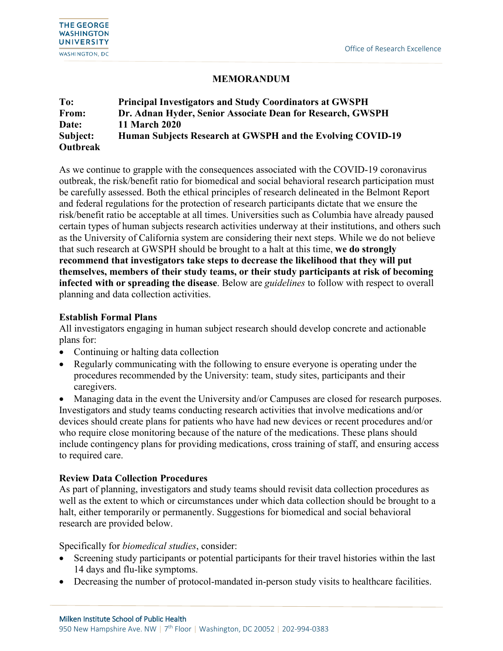## **MEMORANDUM**

| To:      | <b>Principal Investigators and Study Coordinators at GWSPH</b> |
|----------|----------------------------------------------------------------|
| From:    | Dr. Adnan Hyder, Senior Associate Dean for Research, GWSPH     |
| Date:    | <b>11 March 2020</b>                                           |
| Subject: | Human Subjects Research at GWSPH and the Evolving COVID-19     |
| Outbreak |                                                                |

As we continue to grapple with the consequences associated with the COVID-19 coronavirus outbreak, the risk/benefit ratio for biomedical and social behavioral research participation must be carefully assessed. Both the ethical principles of research delineated in the Belmont Report and federal regulations for the protection of research participants dictate that we ensure the risk/benefit ratio be acceptable at all times. Universities such as Columbia have already paused certain types of human subjects research activities underway at their institutions, and others such as the University of California system are considering their next steps. While we do not believe that such research at GWSPH should be brought to a halt at this time, **we do strongly recommend that investigators take steps to decrease the likelihood that they will put themselves, members of their study teams, or their study participants at risk of becoming infected with or spreading the disease**. Below are *guidelines* to follow with respect to overall planning and data collection activities.

## **Establish Formal Plans**

All investigators engaging in human subject research should develop concrete and actionable plans for:

- Continuing or halting data collection
- Regularly communicating with the following to ensure everyone is operating under the procedures recommended by the University: team, study sites, participants and their caregivers.

• Managing data in the event the University and/or Campuses are closed for research purposes. Investigators and study teams conducting research activities that involve medications and/or devices should create plans for patients who have had new devices or recent procedures and/or who require close monitoring because of the nature of the medications. These plans should include contingency plans for providing medications, cross training of staff, and ensuring access to required care.

## **Review Data Collection Procedures**

֠

As part of planning, investigators and study teams should revisit data collection procedures as well as the extent to which or circumstances under which data collection should be brought to a halt, either temporarily or permanently. Suggestions for biomedical and social behavioral research are provided below.

Specifically for *biomedical studies*, consider:

- Screening study participants or potential participants for their travel histories within the last 14 days and flu-like symptoms.
- Decreasing the number of protocol-mandated in-person study visits to healthcare facilities.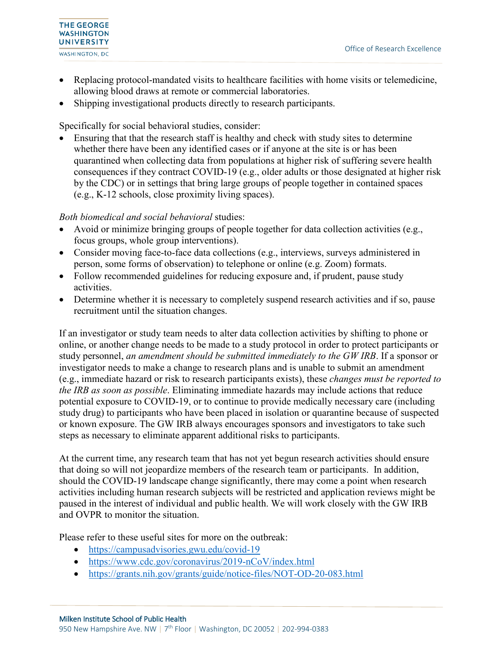

- Replacing protocol-mandated visits to healthcare facilities with home visits or telemedicine, allowing blood draws at remote or commercial laboratories.
- Shipping investigational products directly to research participants.

Specifically for social behavioral studies, consider:

• Ensuring that that the research staff is healthy and check with study sites to determine whether there have been any identified cases or if anyone at the site is or has been quarantined when collecting data from populations at higher risk of suffering severe health consequences if they contract COVID-19 (e.g., older adults or those designated at higher risk by the CDC) or in settings that bring large groups of people together in contained spaces (e.g., K-12 schools, close proximity living spaces).

## *Both biomedical and social behavioral* studies:

- Avoid or minimize bringing groups of people together for data collection activities (e.g., focus groups, whole group interventions).
- Consider moving face-to-face data collections (e.g., interviews, surveys administered in person, some forms of observation) to telephone or online (e.g. Zoom) formats.
- Follow recommended guidelines for reducing exposure and, if prudent, pause study activities.
- Determine whether it is necessary to completely suspend research activities and if so, pause recruitment until the situation changes.

If an investigator or study team needs to alter data collection activities by shifting to phone or online, or another change needs to be made to a study protocol in order to protect participants or study personnel, *an amendment should be submitted immediately to the GW IRB*. If a sponsor or investigator needs to make a change to research plans and is unable to submit an amendment (e.g., immediate hazard or risk to research participants exists), these *changes must be reported to the IRB as soon as possible*. Eliminating immediate hazards may include actions that reduce potential exposure to COVID-19, or to continue to provide medically necessary care (including study drug) to participants who have been placed in isolation or quarantine because of suspected or known exposure. The GW IRB always encourages sponsors and investigators to take such steps as necessary to eliminate apparent additional risks to participants.

At the current time, any research team that has not yet begun research activities should ensure that doing so will not jeopardize members of the research team or participants. In addition, should the COVID-19 landscape change significantly, there may come a point when research activities including human research subjects will be restricted and application reviews might be paused in the interest of individual and public health. We will work closely with the GW IRB and OVPR to monitor the situation.

Please refer to these useful sites for more on the outbreak:

• <https://campusadvisories.gwu.edu/covid-19>

֠

- <https://www.cdc.gov/coronavirus/2019-nCoV/index.html>
- <https://grants.nih.gov/grants/guide/notice-files/NOT-OD-20-083.html>